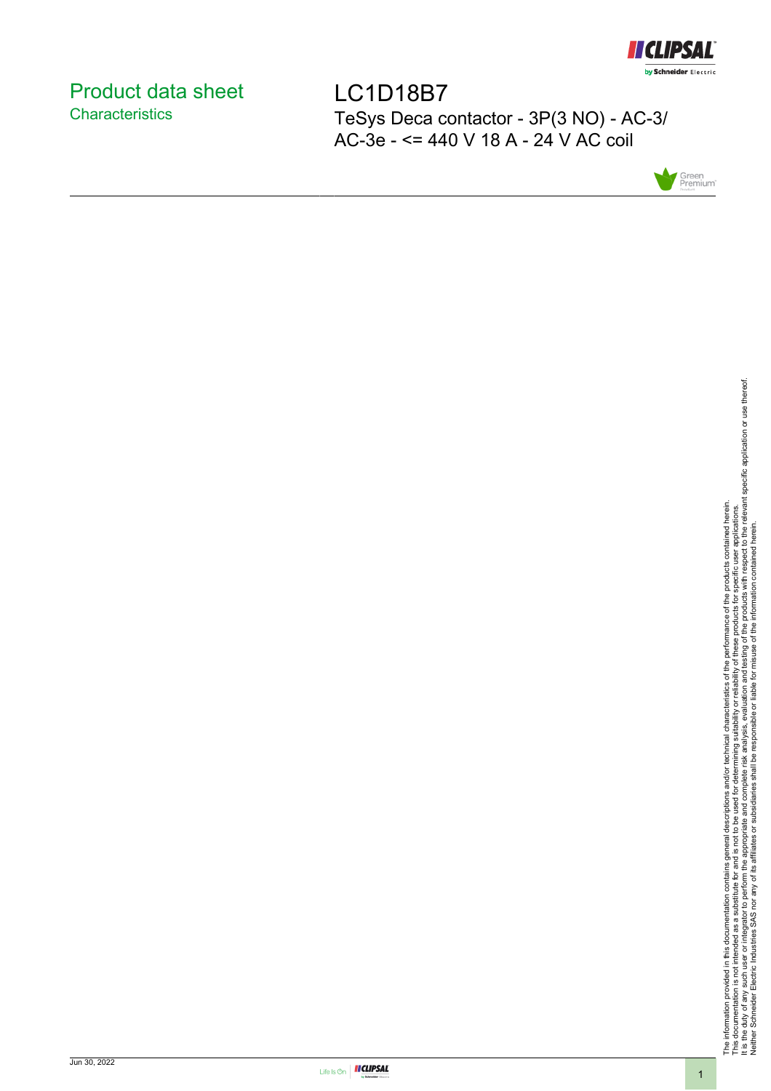

# <span id="page-0-0"></span>Product data sheet **Characteristics**

LC1D18B7 TeSys Deca contactor - 3P(3 NO) - AC-3/ AC-3e - <= 440 V 18 A - 24 V AC coil



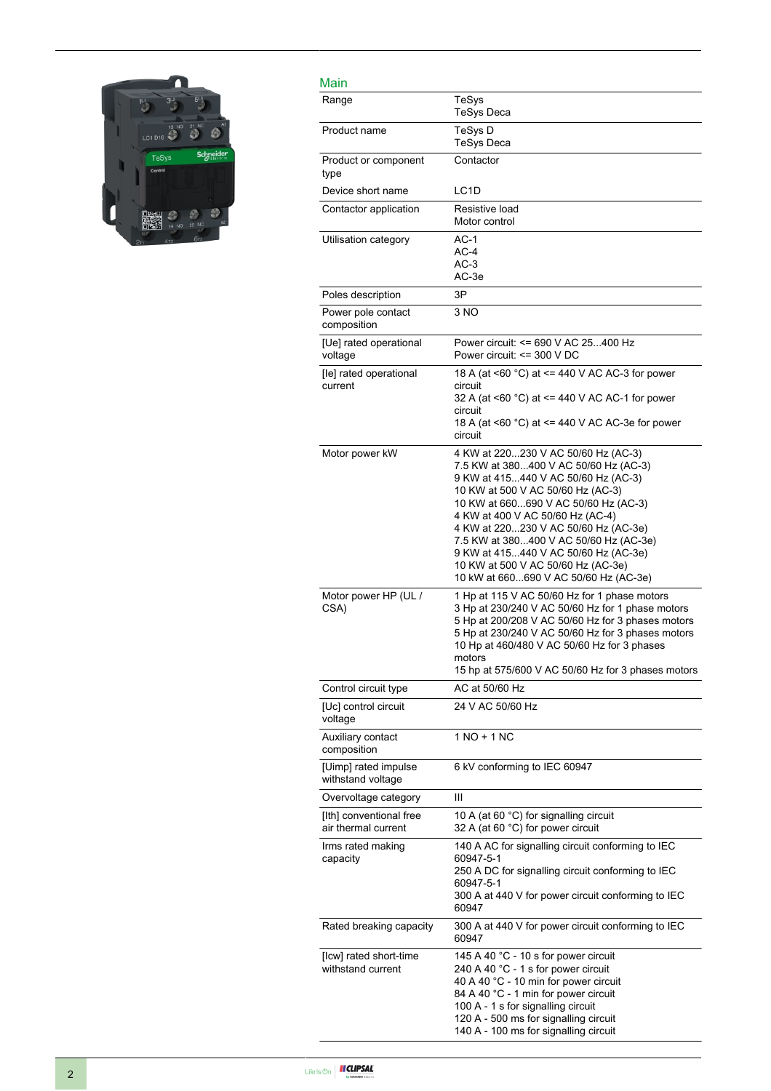

| Main                                           |                                                                                                                                                                                                                                                                                                                                                                                                                                               |
|------------------------------------------------|-----------------------------------------------------------------------------------------------------------------------------------------------------------------------------------------------------------------------------------------------------------------------------------------------------------------------------------------------------------------------------------------------------------------------------------------------|
| Range                                          | TeSys<br><b>TeSys Deca</b>                                                                                                                                                                                                                                                                                                                                                                                                                    |
| Product name                                   | TeSys D<br><b>TeSys Deca</b>                                                                                                                                                                                                                                                                                                                                                                                                                  |
| Product or component<br>type                   | Contactor                                                                                                                                                                                                                                                                                                                                                                                                                                     |
| Device short name                              | LC <sub>1</sub> D                                                                                                                                                                                                                                                                                                                                                                                                                             |
| Contactor application                          | Resistive load<br>Motor control                                                                                                                                                                                                                                                                                                                                                                                                               |
| Utilisation category                           | $AC-1$<br>$AC-4$<br>$AC-3$<br>AC-3e                                                                                                                                                                                                                                                                                                                                                                                                           |
| Poles description                              | 3P                                                                                                                                                                                                                                                                                                                                                                                                                                            |
| Power pole contact<br>composition              | 3 NO                                                                                                                                                                                                                                                                                                                                                                                                                                          |
| [Ue] rated operational<br>voltage              | Power circuit: <= 690 V AC 25400 Hz<br>Power circuit: $\leq$ 300 V DC                                                                                                                                                                                                                                                                                                                                                                         |
| [le] rated operational<br>current              | 18 A (at <60 °C) at <= 440 V AC AC-3 for power<br>circuit<br>32 A (at <60 °C) at <= 440 V AC AC-1 for power<br>circuit<br>18 A (at <60 °C) at <= 440 V AC AC-3e for power<br>circuit                                                                                                                                                                                                                                                          |
| Motor power kW                                 | 4 KW at 220230 V AC 50/60 Hz (AC-3)<br>7.5 KW at 380400 V AC 50/60 Hz (AC-3)<br>9 KW at 415440 V AC 50/60 Hz (AC-3)<br>10 KW at 500 V AC 50/60 Hz (AC-3)<br>10 KW at 660690 V AC 50/60 Hz (AC-3)<br>4 KW at 400 V AC 50/60 Hz (AC-4)<br>4 KW at 220230 V AC 50/60 Hz (AC-3e)<br>7.5 KW at 380400 V AC 50/60 Hz (AC-3e)<br>9 KW at 415440 V AC 50/60 Hz (AC-3e)<br>10 KW at 500 V AC 50/60 Hz (AC-3e)<br>10 kW at 660690 V AC 50/60 Hz (AC-3e) |
| Motor power HP (UL /<br>CSA)                   | 1 Hp at 115 V AC 50/60 Hz for 1 phase motors<br>3 Hp at 230/240 V AC 50/60 Hz for 1 phase motors<br>5 Hp at 200/208 V AC 50/60 Hz for 3 phases motors<br>5 Hp at 230/240 V AC 50/60 Hz for 3 phases motors<br>10 Hp at 460/480 V AC 50/60 Hz for 3 phases<br>motors<br>15 hp at 575/600 V AC 50/60 Hz for 3 phases motors                                                                                                                     |
| Control circuit type                           | AC at 50/60 Hz                                                                                                                                                                                                                                                                                                                                                                                                                                |
| [Uc] control circuit<br>voltage                | 24 V AC 50/60 Hz                                                                                                                                                                                                                                                                                                                                                                                                                              |
| Auxiliary contact<br>composition               | 1 NO + 1 NC                                                                                                                                                                                                                                                                                                                                                                                                                                   |
| [Uimp] rated impulse<br>withstand voltage      | 6 kV conforming to IEC 60947                                                                                                                                                                                                                                                                                                                                                                                                                  |
| Overvoltage category                           | Ш                                                                                                                                                                                                                                                                                                                                                                                                                                             |
| [Ith] conventional free<br>air thermal current | 10 A (at 60 °C) for signalling circuit<br>32 A (at 60 °C) for power circuit                                                                                                                                                                                                                                                                                                                                                                   |
| Irms rated making<br>capacity                  | 140 A AC for signalling circuit conforming to IEC<br>60947-5-1<br>250 A DC for signalling circuit conforming to IEC<br>60947-5-1<br>300 A at 440 V for power circuit conforming to IEC<br>60947                                                                                                                                                                                                                                               |
| Rated breaking capacity                        | 300 A at 440 V for power circuit conforming to IEC<br>60947                                                                                                                                                                                                                                                                                                                                                                                   |
| [Icw] rated short-time<br>withstand current    | 145 A 40 °C - 10 s for power circuit<br>240 A 40 °C - 1 s for power circuit<br>40 A 40 °C - 10 min for power circuit<br>84 A 40 °C - 1 min for power circuit<br>100 A - 1 s for signalling circuit<br>120 A - 500 ms for signalling circuit<br>140 A - 100 ms for signalling circuit                                                                                                                                                          |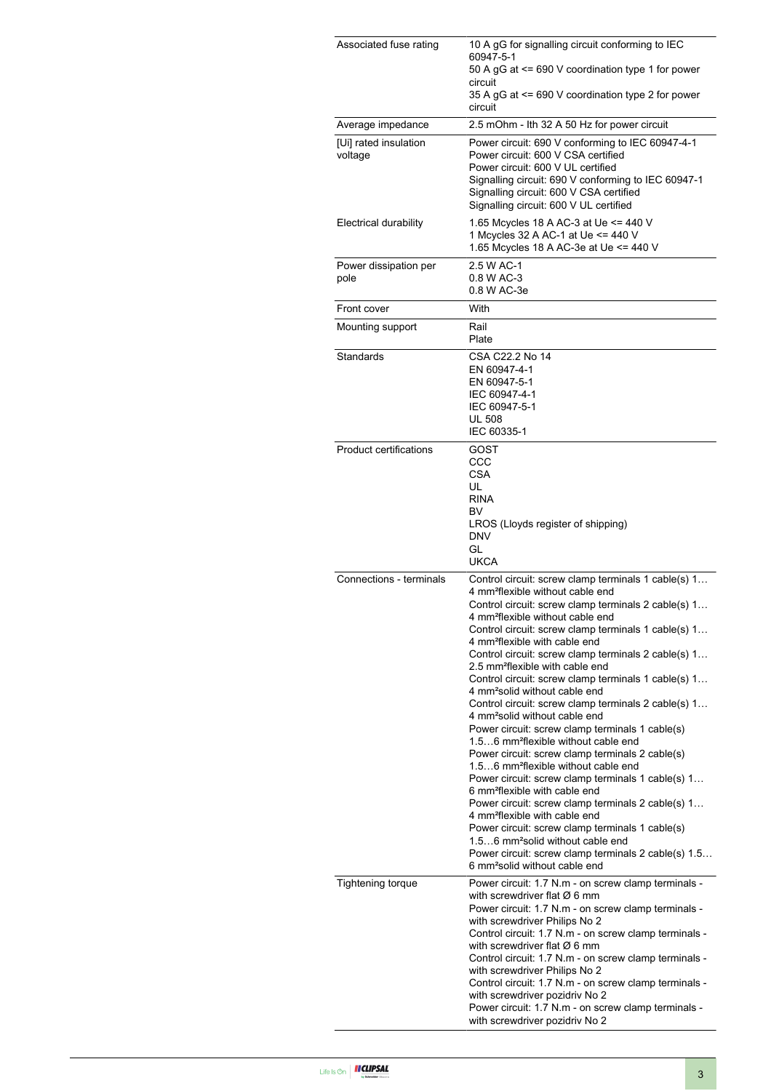| Associated fuse rating           | 10 A gG for signalling circuit conforming to IEC<br>60947-5-1<br>50 A gG at <= 690 V coordination type 1 for power<br>circuit<br>35 A gG at <= 690 V coordination type 2 for power<br>circuit                                                                                                                                                                                                                                                                                                                                                                                                                                                                                                                                                                                                                                                                                                                                                                                                                                                                                                                                                                                                                                                       |  |
|----------------------------------|-----------------------------------------------------------------------------------------------------------------------------------------------------------------------------------------------------------------------------------------------------------------------------------------------------------------------------------------------------------------------------------------------------------------------------------------------------------------------------------------------------------------------------------------------------------------------------------------------------------------------------------------------------------------------------------------------------------------------------------------------------------------------------------------------------------------------------------------------------------------------------------------------------------------------------------------------------------------------------------------------------------------------------------------------------------------------------------------------------------------------------------------------------------------------------------------------------------------------------------------------------|--|
| Average impedance                | 2.5 mOhm - Ith 32 A 50 Hz for power circuit                                                                                                                                                                                                                                                                                                                                                                                                                                                                                                                                                                                                                                                                                                                                                                                                                                                                                                                                                                                                                                                                                                                                                                                                         |  |
| [Ui] rated insulation<br>voltage | Power circuit: 690 V conforming to IEC 60947-4-1<br>Power circuit: 600 V CSA certified<br>Power circuit: 600 V UL certified<br>Signalling circuit: 690 V conforming to IEC 60947-1<br>Signalling circuit: 600 V CSA certified<br>Signalling circuit: 600 V UL certified                                                                                                                                                                                                                                                                                                                                                                                                                                                                                                                                                                                                                                                                                                                                                                                                                                                                                                                                                                             |  |
| Electrical durability            | 1.65 Mcycles 18 A AC-3 at Ue <= 440 V<br>1 Mcycles 32 A AC-1 at Ue <= 440 V<br>1.65 Mcycles 18 A AC-3e at Ue <= 440 V                                                                                                                                                                                                                                                                                                                                                                                                                                                                                                                                                                                                                                                                                                                                                                                                                                                                                                                                                                                                                                                                                                                               |  |
| Power dissipation per<br>pole    | 2.5 W AC-1<br>0.8 W AC-3<br>0.8 W AC-3e                                                                                                                                                                                                                                                                                                                                                                                                                                                                                                                                                                                                                                                                                                                                                                                                                                                                                                                                                                                                                                                                                                                                                                                                             |  |
| Front cover                      | With                                                                                                                                                                                                                                                                                                                                                                                                                                                                                                                                                                                                                                                                                                                                                                                                                                                                                                                                                                                                                                                                                                                                                                                                                                                |  |
| Mounting support                 | Rail<br>Plate                                                                                                                                                                                                                                                                                                                                                                                                                                                                                                                                                                                                                                                                                                                                                                                                                                                                                                                                                                                                                                                                                                                                                                                                                                       |  |
| Standards                        | CSA C22.2 No 14<br>EN 60947-4-1<br>EN 60947-5-1<br>IEC 60947-4-1<br>IEC 60947-5-1<br><b>UL 508</b><br>IEC 60335-1                                                                                                                                                                                                                                                                                                                                                                                                                                                                                                                                                                                                                                                                                                                                                                                                                                                                                                                                                                                                                                                                                                                                   |  |
| <b>Product certifications</b>    | GOST<br>CCC<br><b>CSA</b><br>UL<br><b>RINA</b><br>BV<br>LROS (Lloyds register of shipping)<br><b>DNV</b><br>GL<br><b>UKCA</b>                                                                                                                                                                                                                                                                                                                                                                                                                                                                                                                                                                                                                                                                                                                                                                                                                                                                                                                                                                                                                                                                                                                       |  |
| Connections - terminals          | Control circuit: screw clamp terminals 1 cable(s) 1<br>4 mm <sup>2</sup> flexible without cable end<br>Control circuit: screw clamp terminals 2 cable(s) 1<br>4 mm <sup>2</sup> flexible without cable end<br>Control circuit: screw clamp terminals 1 cable(s) 1<br>4 mm <sup>2</sup> flexible with cable end<br>Control circuit: screw clamp terminals 2 cable(s) 1<br>2.5 mm <sup>2</sup> flexible with cable end<br>Control circuit: screw clamp terminals 1 cable(s) 1<br>4 mm <sup>2</sup> solid without cable end<br>Control circuit: screw clamp terminals 2 cable(s) 1<br>4 mm <sup>2</sup> solid without cable end<br>Power circuit: screw clamp terminals 1 cable(s)<br>1.56 mm <sup>2</sup> flexible without cable end<br>Power circuit: screw clamp terminals 2 cable(s)<br>1.56 mm <sup>2</sup> flexible without cable end<br>Power circuit: screw clamp terminals 1 cable(s) 1<br>6 mm <sup>2</sup> flexible with cable end<br>Power circuit: screw clamp terminals 2 cable(s) 1<br>4 mm <sup>2</sup> flexible with cable end<br>Power circuit: screw clamp terminals 1 cable(s)<br>1.56 mm <sup>2</sup> solid without cable end<br>Power circuit: screw clamp terminals 2 cable(s) 1.5<br>6 mm <sup>2</sup> solid without cable end |  |
| <b>Tightening torque</b>         | Power circuit: 1.7 N.m - on screw clamp terminals -<br>with screwdriver flat $\varnothing$ 6 mm<br>Power circuit: 1.7 N.m - on screw clamp terminals -<br>with screwdriver Philips No 2<br>Control circuit: 1.7 N.m - on screw clamp terminals -<br>with screwdriver flat $\varnothing$ 6 mm<br>Control circuit: 1.7 N.m - on screw clamp terminals -<br>with screwdriver Philips No 2<br>Control circuit: 1.7 N.m - on screw clamp terminals -<br>with screwdriver pozidriv No 2<br>Power circuit: 1.7 N.m - on screw clamp terminals -<br>with screwdriver pozidriv No 2                                                                                                                                                                                                                                                                                                                                                                                                                                                                                                                                                                                                                                                                          |  |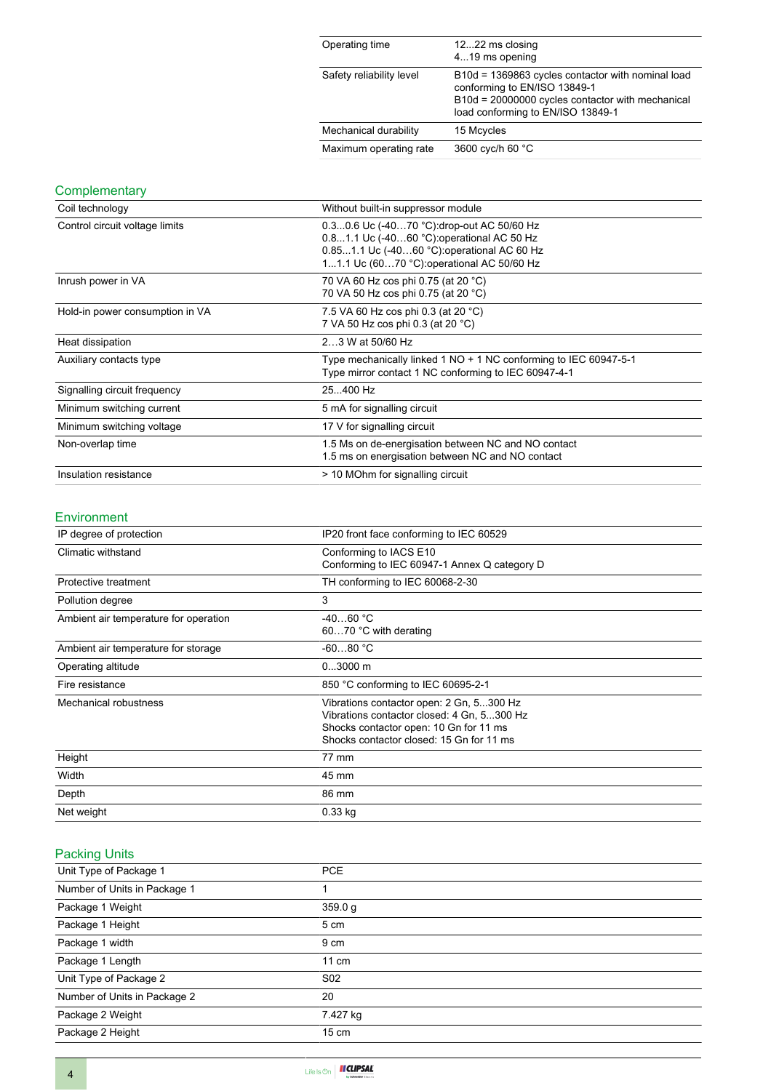| Operating time           | 1222 ms closing<br>419 ms opening                                                                                                                                          |
|--------------------------|----------------------------------------------------------------------------------------------------------------------------------------------------------------------------|
| Safety reliability level | B10d = 1369863 cycles contactor with nominal load<br>conforming to EN/ISO 13849-1<br>B10d = 20000000 cycles contactor with mechanical<br>load conforming to EN/ISO 13849-1 |
| Mechanical durability    | 15 Mcycles                                                                                                                                                                 |
| Maximum operating rate   | 3600 cyc/h 60 °C                                                                                                                                                           |

## **Complementary**

| Coil technology                 | Without built-in suppressor module                                                                                                                                                   |  |  |
|---------------------------------|--------------------------------------------------------------------------------------------------------------------------------------------------------------------------------------|--|--|
| Control circuit voltage limits  | 0.30.6 Uc (-4070 °C): drop-out AC 50/60 Hz<br>0.81.1 Uc (-4060 °C) operational AC 50 Hz<br>0.851.1 Uc (-4060 °C): operational AC 60 Hz<br>11.1 Uc (6070 °C): operational AC 50/60 Hz |  |  |
| Inrush power in VA              | 70 VA 60 Hz cos phi 0.75 (at 20 °C)<br>70 VA 50 Hz cos phi 0.75 (at 20 °C)                                                                                                           |  |  |
| Hold-in power consumption in VA | 7.5 VA 60 Hz cos phi 0.3 (at 20 °C)<br>7 VA 50 Hz cos phi 0.3 (at 20 °C)                                                                                                             |  |  |
| Heat dissipation                | 23 W at 50/60 Hz                                                                                                                                                                     |  |  |
| Auxiliary contacts type         | Type mechanically linked 1 NO + 1 NC conforming to IEC 60947-5-1<br>Type mirror contact 1 NC conforming to IEC 60947-4-1                                                             |  |  |
| Signalling circuit frequency    | 25400 Hz                                                                                                                                                                             |  |  |
| Minimum switching current       | 5 mA for signalling circuit                                                                                                                                                          |  |  |
| Minimum switching voltage       | 17 V for signalling circuit                                                                                                                                                          |  |  |
| Non-overlap time                | 1.5 Ms on de-energisation between NC and NO contact<br>1.5 ms on energisation between NC and NO contact                                                                              |  |  |
| Insulation resistance           | > 10 MOhm for signalling circuit                                                                                                                                                     |  |  |

#### Environment

| IP20 front face conforming to IEC 60529      |  |
|----------------------------------------------|--|
| Conforming to IACS E10                       |  |
| Conforming to IEC 60947-1 Annex Q category D |  |
| TH conforming to IEC 60068-2-30              |  |
| 3                                            |  |
| $-4060 °C$                                   |  |
| 6070 °C with derating                        |  |
| $-6080 °C$                                   |  |
| $03000$ m                                    |  |
| 850 °C conforming to IEC 60695-2-1           |  |
| Vibrations contactor open: 2 Gn, 5300 Hz     |  |
| Vibrations contactor closed: 4 Gn, 5300 Hz   |  |
| Shocks contactor open: 10 Gn for 11 ms       |  |
| Shocks contactor closed: 15 Gn for 11 ms     |  |
| 77 mm                                        |  |
| 45 mm                                        |  |
| 86 mm                                        |  |
| $0.33$ kg                                    |  |
|                                              |  |

# Packing Units

| Unit Type of Package 1       | <b>PCE</b>      |
|------------------------------|-----------------|
| Number of Units in Package 1 |                 |
| Package 1 Weight             | 359.0 g         |
| Package 1 Height             | 5 cm            |
| Package 1 width              | 9 cm            |
| Package 1 Length             | 11 cm           |
| Unit Type of Package 2       | S <sub>02</sub> |
| Number of Units in Package 2 | 20              |
| Package 2 Weight             | 7.427 kg        |
| Package 2 Height             | $15 \text{ cm}$ |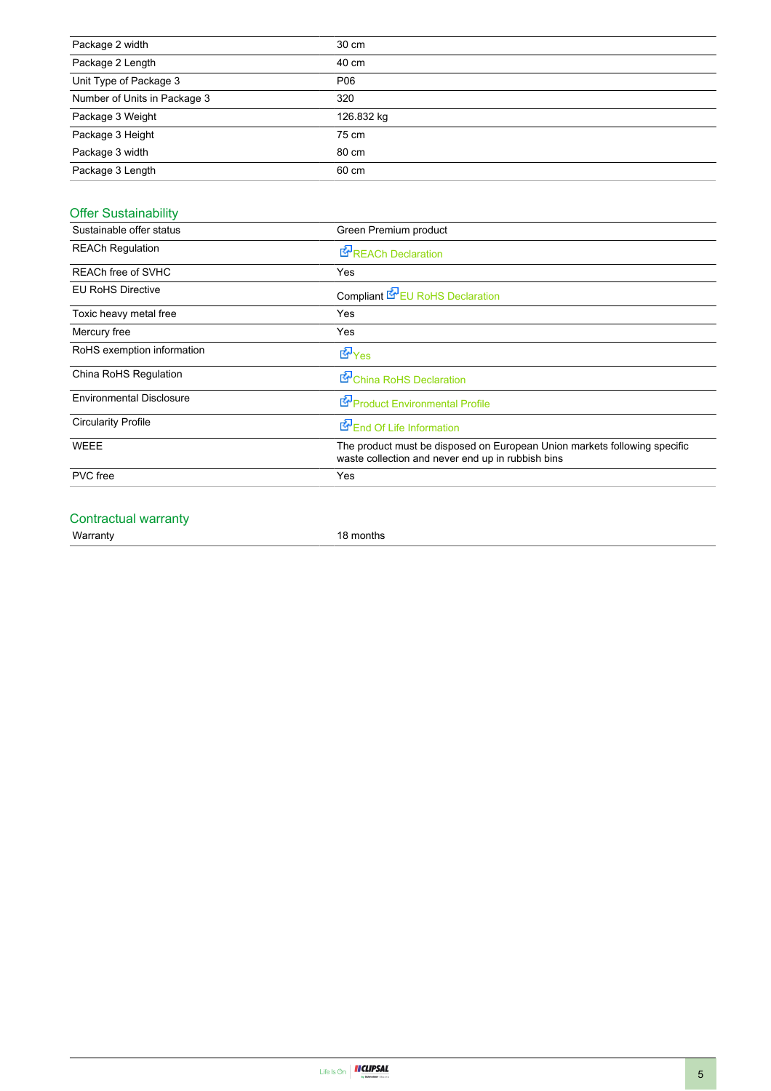| Package 2 width              | 30 cm      |
|------------------------------|------------|
| Package 2 Length             | 40 cm      |
| Unit Type of Package 3       | P06        |
| Number of Units in Package 3 | 320        |
| Package 3 Weight             | 126.832 kg |
| Package 3 Height             | 75 cm      |
| Package 3 width              | 80 cm      |
| Package 3 Length             | 60 cm      |

# Offer Sustainability

| Sustainable offer status        | Green Premium product                                                                                                          |  |  |
|---------------------------------|--------------------------------------------------------------------------------------------------------------------------------|--|--|
| <b>REACh Regulation</b>         | <b>E</b> REACh Declaration                                                                                                     |  |  |
| REACh free of SVHC              | Yes                                                                                                                            |  |  |
| <b>EU RoHS Directive</b>        | Compliant <b>E</b> EU RoHS Declaration                                                                                         |  |  |
| Toxic heavy metal free          | Yes                                                                                                                            |  |  |
| Mercury free                    | Yes                                                                                                                            |  |  |
| RoHS exemption information      | <b>E</b> Yes                                                                                                                   |  |  |
| China RoHS Regulation           | China RoHS Declaration                                                                                                         |  |  |
| <b>Environmental Disclosure</b> | Product Environmental Profile                                                                                                  |  |  |
| <b>Circularity Profile</b>      | End Of Life Information                                                                                                        |  |  |
| <b>WEEE</b>                     | The product must be disposed on European Union markets following specific<br>waste collection and never end up in rubbish bins |  |  |
| <b>PVC</b> free                 | Yes                                                                                                                            |  |  |
|                                 |                                                                                                                                |  |  |

### Contractual warranty

Warranty 18 months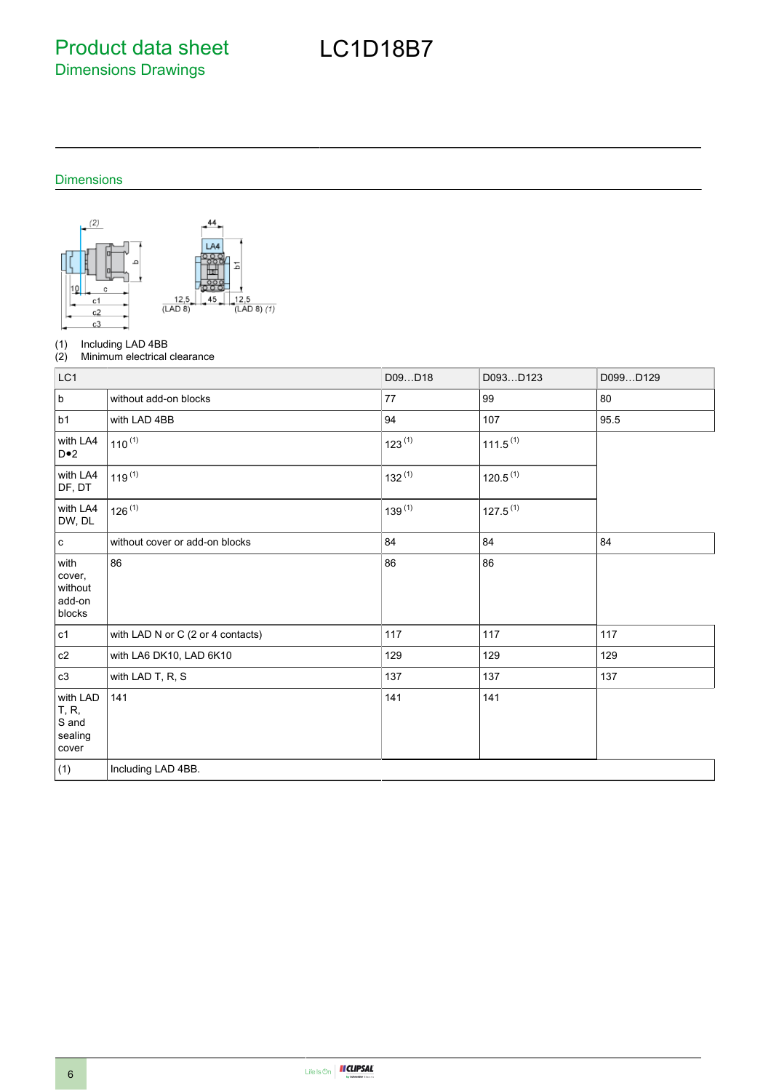Product data sheet Dimensions Drawings

# LC1D18B7

### Dimensions



(1) Including LAD 4BB<br>(2) Minimum electrical

Minimum electrical clearance

| LC1                                                    |                                   | D09D18      | D093D123             | D099D129 |
|--------------------------------------------------------|-----------------------------------|-------------|----------------------|----------|
| $\sf b$                                                | without add-on blocks             | 77          | 99                   | 80       |
| b1                                                     | with LAD 4BB                      | 94          | 107                  | 95.5     |
| with LA4<br>$D \cdot 2$                                | $110^{(1)}$                       | $123^{(1)}$ | $111.5^{(1)}$        |          |
| with LA4<br>DF, DT                                     | $119^{(1)}$                       | $132^{(1)}$ | 120.5 <sup>(1)</sup> |          |
| with LA4<br>DW, DL                                     | $126^{(1)}$                       | $139^{(1)}$ | $127.5^{(1)}$        |          |
| $\mathtt{c}$                                           | without cover or add-on blocks    | 84          | 84                   | 84       |
| with<br>cover,<br>without<br>add-on<br>blocks          | 86                                | 86          | 86                   |          |
| c1                                                     | with LAD N or C (2 or 4 contacts) | 117         | 117                  | 117      |
| $\mathtt{c2}$                                          | with LA6 DK10, LAD 6K10           | 129         | 129                  | 129      |
| c3                                                     | with LAD T, R, S                  | 137         | 137                  | 137      |
| with LAD<br><b>T</b> , R,<br>S and<br>sealing<br>cover | 141                               | 141         | 141                  |          |
| (1)                                                    | Including LAD 4BB.                |             |                      |          |